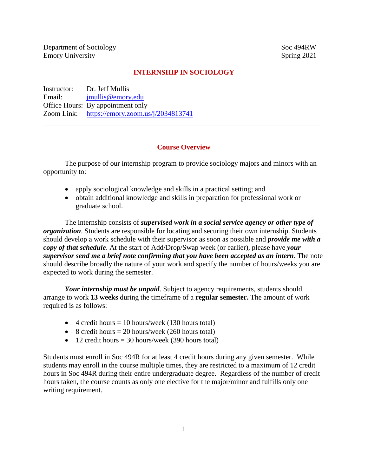Department of Sociology Soc 494RW Emory University Spring 2021

### **INTERNSHIP IN SOCIOLOGY**

Instructor: Dr. Jeff Mullis Email: [jmullis@emory.edu](mailto:jmullis@emory.edu) Office Hours: By appointment only Zoom Link: <https://emory.zoom.us/j/2034813741>

#### **Course Overview**

\_\_\_\_\_\_\_\_\_\_\_\_\_\_\_\_\_\_\_\_\_\_\_\_\_\_\_\_\_\_\_\_\_\_\_\_\_\_\_\_\_\_\_\_\_\_\_\_\_\_\_\_\_\_\_\_\_\_\_\_\_\_\_\_\_\_\_\_\_\_\_\_\_\_\_\_\_

The purpose of our internship program to provide sociology majors and minors with an opportunity to:

- apply sociological knowledge and skills in a practical setting; and
- obtain additional knowledge and skills in preparation for professional work or graduate school.

The internship consists of *supervised work in a social service agency or other type of organization*. Students are responsible for locating and securing their own internship. Students should develop a work schedule with their supervisor as soon as possible and *provide me with a copy of that schedule*. At the start of Add/Drop/Swap week (or earlier), please have *your supervisor send me a brief note confirming that you have been accepted as an intern*. The note should describe broadly the nature of your work and specify the number of hours/weeks you are expected to work during the semester.

*Your internship must be unpaid*. Subject to agency requirements, students should arrange to work **13 weeks** during the timeframe of a **regular semester.** The amount of work required is as follows:

- $\bullet$  4 credit hours = 10 hours/week (130 hours total)
- $\bullet$  8 credit hours = 20 hours/week (260 hours total)
- 12 credit hours  $=$  30 hours/week (390 hours total)

Students must enroll in Soc 494R for at least 4 credit hours during any given semester. While students may enroll in the course multiple times, they are restricted to a maximum of 12 credit hours in Soc 494R during their entire undergraduate degree. Regardless of the number of credit hours taken, the course counts as only one elective for the major/minor and fulfills only one writing requirement.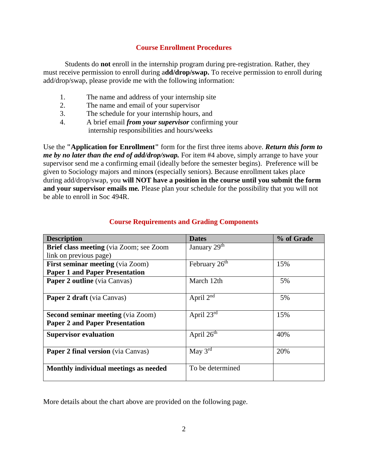#### **Course Enrollment Procedures**

Students do **not** enroll in the internship program during pre-registration. Rather, they must receive permission to enroll during a**dd/drop/swap.** To receive permission to enroll during add/drop/swap, please provide me with the following information:

- 1. The name and address of your internship site
- 2. The name and email of your supervisor
- 3. The schedule for your internship hours, and
- 4. A brief email *from your supervisor* confirming your internship responsibilities and hours/weeks

Use the **"Application for Enrollment"** form for the first three items above. *Return this form to me by no later than the end of add/drop/swap*. For item #4 above, simply arrange to have your supervisor send me a confirming email (ideally before the semester begins). Preference will be given to Sociology majors and minor**s** (especially seniors). Because enrollment takes place during add/drop/swap, you **will NOT have a position in the course until you submit the form and your supervisor emails me***.* Please plan your schedule for the possibility that you will not be able to enroll in Soc 494R.

| <b>Description</b>                             | <b>Dates</b>              | % of Grade |
|------------------------------------------------|---------------------------|------------|
| <b>Brief class meeting</b> (via Zoom; see Zoom | January 29 <sup>th</sup>  |            |
| link on previous page)                         |                           |            |
| <b>First seminar meeting (via Zoom)</b>        | February 26 <sup>th</sup> | 15%        |
| <b>Paper 1 and Paper Presentation</b>          |                           |            |
| Paper 2 outline (via Canvas)                   | March 12th                | 5%         |
| <b>Paper 2 draft</b> (via Canvas)              | April 2 <sup>nd</sup>     | 5%         |
| <b>Second seminar meeting (via Zoom)</b>       | April 23rd                | 15%        |
| <b>Paper 2 and Paper Presentation</b>          |                           |            |
| <b>Supervisor evaluation</b>                   | April $26th$              | 40%        |
| <b>Paper 2 final version</b> (via Canvas)      | May $3rd$                 | 20%        |
| Monthly individual meetings as needed          | To be determined          |            |

### **Course Requirements and Grading Components**

More details about the chart above are provided on the following page.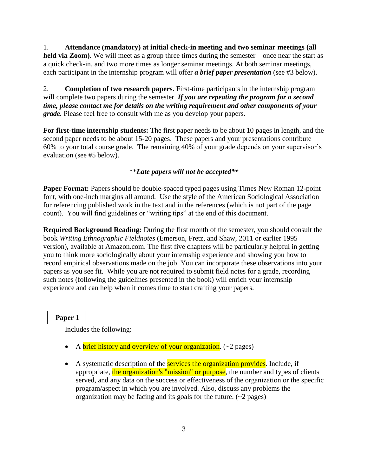1. **Attendance (mandatory) at initial check-in meeting and two seminar meetings (all held via Zoom)**. We will meet as a group three times during the semester—once near the start as a quick check-in, and two more times as longer seminar meetings. At both seminar meetings, each participant in the internship program will offer *a brief paper presentation* (see #3 below).

2. **Completion of two research papers.** First-time participants in the internship program will complete two papers during the semester. *If you are repeating the program for a second time, please contact me for details on the writing requirement and other components of your grade.* Please feel free to consult with me as you develop your papers.

**For first-time internship students:** The first paper needs to be about 10 pages in length, and the second paper needs to be about 15-20 pages. These papers and your presentations contribute 60% to your total course grade. The remaining 40% of your grade depends on your supervisor's evaluation (see #5 below).

## \*\**Late papers will not be accepted\*\**

**Paper Format:** Papers should be double-spaced typed pages using Times New Roman 12-point font, with one-inch margins all around. Use the style of the American Sociological Association for referencing published work in the text and in the references (which is not part of the page count). You will find guidelines or "writing tips" at the end of this document.

**Required Background Reading***:* During the first month of the semester, you should consult the book *Writing Ethnographic Fieldnotes* (Emerson, Fretz, and Shaw, 2011 or earlier 1995 version), available at Amazon.com. The first five chapters will be particularly helpful in getting you to think more sociologically about your internship experience and showing you how to record empirical observations made on the job. You can incorporate these observations into your papers as you see fit. While you are not required to submit field notes for a grade, recording such notes (following the guidelines presented in the book) will enrich your internship experience and can help when it comes time to start crafting your papers.

 **Paper 1**

Includes the following:

- A brief history and overview of your organization.  $(\sim 2$  pages)
- A systematic description of the **services the organization provides**. Include, if appropriate, the organization's "mission" or purpose, the number and types of clients served, and any data on the success or effectiveness of the organization or the specific program/aspect in which you are involved. Also, discuss any problems the organization may be facing and its goals for the future.  $(\sim 2$  pages)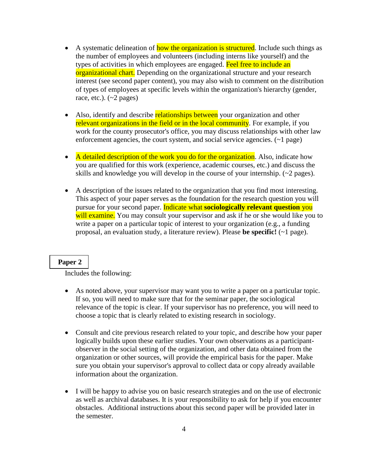- A systematic delineation of how the organization is structured. Include such things as the number of employees and volunteers (including interns like yourself) and the types of activities in which employees are engaged. Feel free to include an organizational chart. Depending on the organizational structure and your research interest (see second paper content), you may also wish to comment on the distribution of types of employees at specific levels within the organization's hierarchy (gender, race, etc.).  $({\sim}2 \text{ pages})$
- Also, identify and describe relationships between your organization and other relevant organizations in the field or in the local community. For example, if you work for the county prosecutor's office, you may discuss relationships with other law enforcement agencies, the court system, and social service agencies. (~1 page)
- A detailed description of the work you do for the organization. Also, indicate how you are qualified for this work (experience, academic courses, etc.) and discuss the skills and knowledge you will develop in the course of your internship. (~2 pages).
- A description of the issues related to the organization that you find most interesting. This aspect of your paper serves as the foundation for the research question you will pursue for your second paper. Indicate what **sociologically relevant question** you will examine. You may consult your supervisor and ask if he or she would like you to write a paper on a particular topic of interest to your organization (e.g., a funding proposal, an evaluation study, a literature review). Please **be specific!** (~1 page).

#### **Paper 2**

Includes the following:

- As noted above, your supervisor may want you to write a paper on a particular topic. If so, you will need to make sure that for the seminar paper, the sociological relevance of the topic is clear. If your supervisor has no preference, you will need to choose a topic that is clearly related to existing research in sociology.
- Consult and cite previous research related to your topic, and describe how your paper logically builds upon these earlier studies. Your own observations as a participantobserver in the social setting of the organization, and other data obtained from the organization or other sources, will provide the empirical basis for the paper. Make sure you obtain your supervisor's approval to collect data or copy already available information about the organization.
- I will be happy to advise you on basic research strategies and on the use of electronic as well as archival databases. It is your responsibility to ask for help if you encounter obstacles. Additional instructions about this second paper will be provided later in the semester.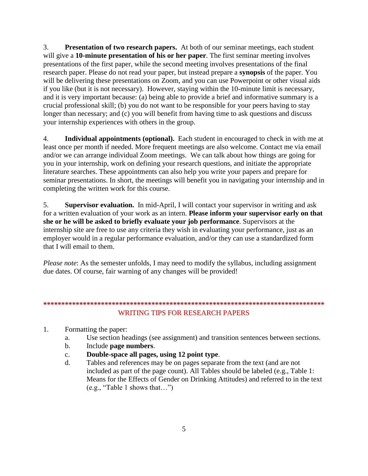3. **Presentation of two research papers.** At both of our seminar meetings, each student will give a **10-minute presentation of his or her paper**. The first seminar meeting involves presentations of the first paper, while the second meeting involves presentations of the final research paper. Please do not read your paper, but instead prepare a **synopsis** of the paper. You will be delivering these presentations on Zoom, and you can use Powerpoint or other visual aids if you like (but it is not necessary). However, staying within the 10-minute limit is necessary, and it is very important because: (a) being able to provide a brief and informative summary is a crucial professional skill; (b) you do not want to be responsible for your peers having to stay longer than necessary; and (c) you will benefit from having time to ask questions and discuss your internship experiences with others in the group.

4. **Individual appointments (optional).** Each student in encouraged to check in with me at least once per month if needed. More frequent meetings are also welcome. Contact me via email and/or we can arrange individual Zoom meetings. We can talk about how things are going for you in your internship, work on defining your research questions, and initiate the appropriate literature searches. These appointments can also help you write your papers and prepare for seminar presentations. In short, the meetings will benefit you in navigating your internship and in completing the written work for this course.

5. **Supervisor evaluation.** In mid-April, I will contact your supervisor in writing and ask for a written evaluation of your work as an intern. **Please inform your supervisor early on that she or he will be asked to briefly evaluate your job performance**. Supervisors at the internship site are free to use any criteria they wish in evaluating your performance, just as an employer would in a regular performance evaluation, and/or they can use a standardized form that I will email to them.

*Please note*: As the semester unfolds, I may need to modify the syllabus, including assignment due dates. Of course, fair warning of any changes will be provided!

# **\*\*\*\*\*\*\*\*\*\*\*\*\*\*\*\*\*\*\*\*\*\*\*\*\*\*\*\*\*\*\*\*\*\*\*\*\*\*\*\*\*\*\*\*\*\*\*\*\*\*\*\*\*\*\*\*\*\*\*\*\*\*\*\*\*\*\*\*\*\*\*\*\*\*\*\*\*\*** WRITING TIPS FOR RESEARCH PAPERS

- 1. Formatting the paper:
	- a. Use section headings (see assignment) and transition sentences between sections.
	- b. Include **page numbers**.
	- c. **Double-space all pages, using 12 point type**.
	- d. Tables and references may be on pages separate from the text (and are not included as part of the page count). All Tables should be labeled (e.g., Table 1: Means for the Effects of Gender on Drinking Attitudes) and referred to in the text (e.g., "Table 1 shows that…")